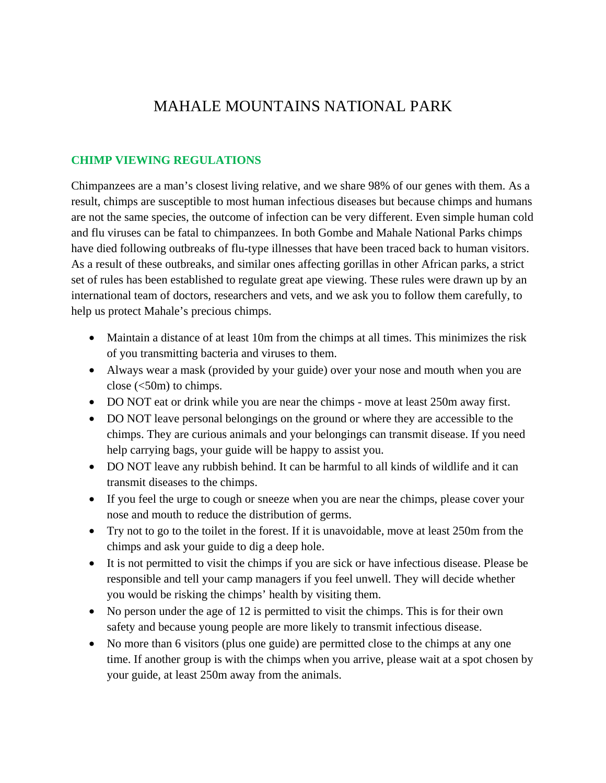## MAHALE MOUNTAINS NATIONAL PARK

## **CHIMP VIEWING REGULATIONS**

Chimpanzees are a man's closest living relative, and we share 98% of our genes with them. As a result, chimps are susceptible to most human infectious diseases but because chimps and humans are not the same species, the outcome of infection can be very different. Even simple human cold and flu viruses can be fatal to chimpanzees. In both Gombe and Mahale National Parks chimps have died following outbreaks of flu-type illnesses that have been traced back to human visitors. As a result of these outbreaks, and similar ones affecting gorillas in other African parks, a strict set of rules has been established to regulate great ape viewing. These rules were drawn up by an international team of doctors, researchers and vets, and we ask you to follow them carefully, to help us protect Mahale's precious chimps.

- Maintain a distance of at least 10m from the chimps at all times. This minimizes the risk of you transmitting bacteria and viruses to them.
- Always wear a mask (provided by your guide) over your nose and mouth when you are close (<50m) to chimps.
- DO NOT eat or drink while you are near the chimps move at least 250m away first.
- DO NOT leave personal belongings on the ground or where they are accessible to the chimps. They are curious animals and your belongings can transmit disease. If you need help carrying bags, your guide will be happy to assist you.
- DO NOT leave any rubbish behind. It can be harmful to all kinds of wildlife and it can transmit diseases to the chimps.
- If you feel the urge to cough or sneeze when you are near the chimps, please cover your nose and mouth to reduce the distribution of germs.
- Try not to go to the toilet in the forest. If it is unavoidable, move at least 250m from the chimps and ask your guide to dig a deep hole.
- It is not permitted to visit the chimps if you are sick or have infectious disease. Please be responsible and tell your camp managers if you feel unwell. They will decide whether you would be risking the chimps' health by visiting them.
- No person under the age of 12 is permitted to visit the chimps. This is for their own safety and because young people are more likely to transmit infectious disease.
- No more than 6 visitors (plus one guide) are permitted close to the chimps at any one time. If another group is with the chimps when you arrive, please wait at a spot chosen by your guide, at least 250m away from the animals.